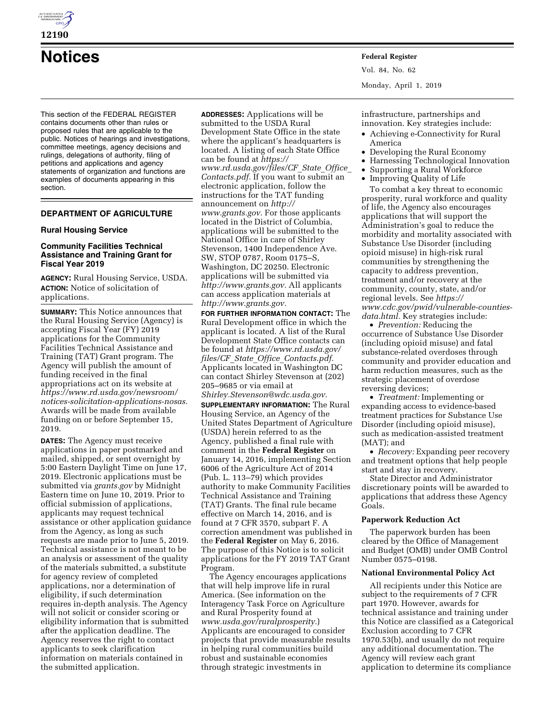

## **12190**

# **Notices Federal Register**

This section of the FEDERAL REGISTER contains documents other than rules or proposed rules that are applicable to the public. Notices of hearings and investigations, committee meetings, agency decisions and rulings, delegations of authority, filing of petitions and applications and agency statements of organization and functions are examples of documents appearing in this section.

## **DEPARTMENT OF AGRICULTURE**

## **Rural Housing Service**

## **Community Facilities Technical Assistance and Training Grant for Fiscal Year 2019**

**AGENCY:** Rural Housing Service, USDA. **ACTION:** Notice of solicitation of applications.

**SUMMARY:** This Notice announces that the Rural Housing Service (Agency) is accepting Fiscal Year (FY) 2019 applications for the Community Facilities Technical Assistance and Training (TAT) Grant program. The Agency will publish the amount of funding received in the final appropriations act on its website at *[https://www.rd.usda.gov/newsroom/](https://www.rd.usda.gov/newsroom/notices-solicitation-applications-nosas) [notices-solicitation-applications-nosas.](https://www.rd.usda.gov/newsroom/notices-solicitation-applications-nosas)*  Awards will be made from available funding on or before September 15, 2019.

**DATES:** The Agency must receive applications in paper postmarked and mailed, shipped, or sent overnight by 5:00 Eastern Daylight Time on June 17, 2019. Electronic applications must be submitted via *grants.gov* by Midnight Eastern time on June 10, 2019. Prior to official submission of applications, applicants may request technical assistance or other application guidance from the Agency, as long as such requests are made prior to June 5, 2019. Technical assistance is not meant to be an analysis or assessment of the quality of the materials submitted, a substitute for agency review of completed applications, nor a determination of eligibility, if such determination requires in-depth analysis. The Agency will not solicit or consider scoring or eligibility information that is submitted after the application deadline. The Agency reserves the right to contact applicants to seek clarification information on materials contained in the submitted application.

**ADDRESSES:** Applications will be submitted to the USDA Rural Development State Office in the state where the applicant's headquarters is located. A listing of each State Office can be found at *[https://](https://www.rd.usda.gov/files/CF_State_Office_Contacts.pdf) [www.rd.usda.gov/files/CF](https://www.rd.usda.gov/files/CF_State_Office_Contacts.pdf)*\_*State*\_*Office*\_ *[Contacts.pdf.](https://www.rd.usda.gov/files/CF_State_Office_Contacts.pdf)* If you want to submit an electronic application, follow the instructions for the TAT funding announcement on *[http://](http://www.grants.gov) [www.grants.gov.](http://www.grants.gov)* For those applicants located in the District of Columbia, applications will be submitted to the National Office in care of Shirley Stevenson, 1400 Independence Ave. SW, STOP 0787, Room 0175–S, Washington, DC 20250. Electronic applications will be submitted via *[http://www.grants.gov.](http://www.grants.gov)* All applicants can access application materials at *[http://www.grants.gov.](http://www.grants.gov)* 

**FOR FURTHER INFORMATION CONTACT:** The Rural Development office in which the applicant is located. A list of the Rural Development State Office contacts can be found at *[https://www.rd.usda.gov/](https://www.rd.usda.gov/files/CF_State_Office_Contacts.pdf) files/CF*\_*State*\_*Office*\_*[Contacts.pdf.](https://www.rd.usda.gov/files/CF_State_Office_Contacts.pdf)*  Applicants located in Washington DC can contact Shirley Stevenson at (202) 205–9685 or via email at *[Shirley.Stevenson@wdc.usda.gov.](mailto:Shirley.Stevenson@wdc.usda.gov)*  **SUPPLEMENTARY INFORMATION:** The Rural Housing Service, an Agency of the United States Department of Agriculture (USDA) herein referred to as the Agency, published a final rule with comment in the **Federal Register** on January 14, 2016, implementing Section 6006 of the Agriculture Act of 2014 (Pub. L. 113–79) which provides authority to make Community Facilities Technical Assistance and Training (TAT) Grants. The final rule became effective on March 14, 2016, and is found at 7 CFR 3570, subpart F. A correction amendment was published in the **Federal Register** on May 6, 2016. The purpose of this Notice is to solicit applications for the FY 2019 TAT Grant Program.

The Agency encourages applications that will help improve life in rural America. (See information on the Interagency Task Force on Agriculture and Rural Prosperity found at *[www.usda.gov/ruralprosperity.](http://www.usda.gov/ruralprosperity)*) Applicants are encouraged to consider projects that provide measurable results in helping rural communities build robust and sustainable economies through strategic investments in

Vol. 84, No. 62 Monday, April 1, 2019

infrastructure, partnerships and innovation. Key strategies include:

- Achieving e-Connectivity for Rural America
- Developing the Rural Economy
- Harnessing Technological Innovation
- Supporting a Rural Workforce
- Improving Quality of Life

To combat a key threat to economic prosperity, rural workforce and quality of life, the Agency also encourages applications that will support the Administration's goal to reduce the morbidity and mortality associated with Substance Use Disorder (including opioid misuse) in high-risk rural communities by strengthening the capacity to address prevention, treatment and/or recovery at the community, county, state, and/or regional levels. See *[https://](https://www.cdc.gov/pwid/vulnerable-counties-data.html) [www.cdc.gov/pwid/vulnerable-counties](https://www.cdc.gov/pwid/vulnerable-counties-data.html)[data.html.](https://www.cdc.gov/pwid/vulnerable-counties-data.html)* Key strategies include:

• *Prevention:* Reducing the occurrence of Substance Use Disorder (including opioid misuse) and fatal substance-related overdoses through community and provider education and harm reduction measures, such as the strategic placement of overdose reversing devices;

• *Treatment:* Implementing or expanding access to evidence-based treatment practices for Substance Use Disorder (including opioid misuse), such as medication-assisted treatment (MAT); and

• *Recovery:* Expanding peer recovery and treatment options that help people start and stay in recovery.

State Director and Administrator discretionary points will be awarded to applications that address these Agency Goals.

## **Paperwork Reduction Act**

The paperwork burden has been cleared by the Office of Management and Budget (OMB) under OMB Control Number 0575–0198.

#### **National Environmental Policy Act**

All recipients under this Notice are subject to the requirements of 7 CFR part 1970. However, awards for technical assistance and training under this Notice are classified as a Categorical Exclusion according to 7 CFR 1970.53(b), and usually do not require any additional documentation. The Agency will review each grant application to determine its compliance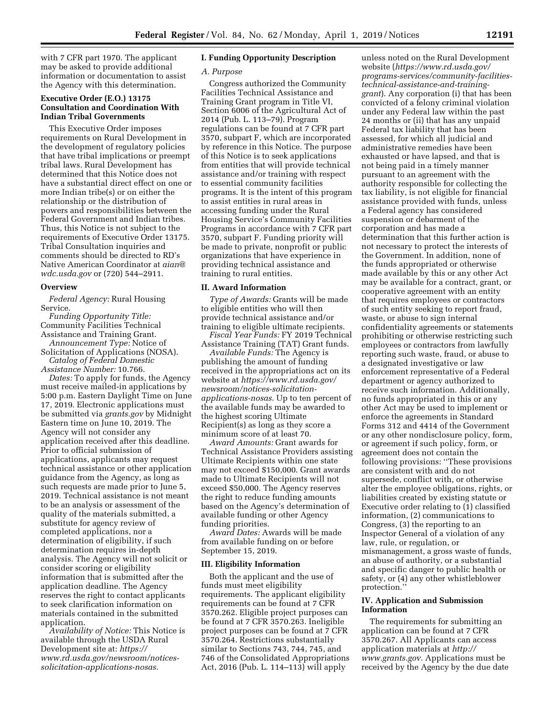with 7 CFR part 1970. The applicant may be asked to provide additional information or documentation to assist the Agency with this determination.

## **Executive Order (E.O.) 13175 Consultation and Coordination With Indian Tribal Governments**

This Executive Order imposes requirements on Rural Development in the development of regulatory policies that have tribal implications or preempt tribal laws. Rural Development has determined that this Notice does not have a substantial direct effect on one or more Indian tribe(s) or on either the relationship or the distribution of powers and responsibilities between the Federal Government and Indian tribes. Thus, this Notice is not subject to the requirements of Executive Order 13175. Tribal Consultation inquiries and comments should be directed to RD's Native American Coordinator at *[aian@](mailto:aian@wdc.usda.gov) [wdc.usda.gov](mailto:aian@wdc.usda.gov)* or (720) 544–2911.

#### **Overview**

*Federal Agency:* Rural Housing Service.

*Funding Opportunity Title:*  Community Facilities Technical Assistance and Training Grant.

*Announcement Type:* Notice of Solicitation of Applications (NOSA). *Catalog of Federal Domestic* 

*Assistance Number:* 10.766.

*Dates:* To apply for funds, the Agency must receive mailed-in applications by 5:00 p.m. Eastern Daylight Time on June 17, 2019. Electronic applications must be submitted via *grants.gov* by Midnight Eastern time on June 10, 2019. The Agency will not consider any application received after this deadline. Prior to official submission of applications, applicants may request technical assistance or other application guidance from the Agency, as long as such requests are made prior to June 5, 2019. Technical assistance is not meant to be an analysis or assessment of the quality of the materials submitted, a substitute for agency review of completed applications, nor a determination of eligibility, if such determination requires in-depth analysis. The Agency will not solicit or consider scoring or eligibility information that is submitted after the application deadline. The Agency reserves the right to contact applicants to seek clarification information on materials contained in the submitted application.

*Availability of Notice:* This Notice is available through the USDA Rural Development site at: *[https://](https://www.rd.usda.gov/newsroom/notices-solicitation-applications-nosas) [www.rd.usda.gov/newsroom/notices](https://www.rd.usda.gov/newsroom/notices-solicitation-applications-nosas)[solicitation-applications-nosas.](https://www.rd.usda.gov/newsroom/notices-solicitation-applications-nosas)* 

## **I. Funding Opportunity Description**

#### *A. Purpose*

Congress authorized the Community Facilities Technical Assistance and Training Grant program in Title VI, Section 6006 of the Agricultural Act of 2014 (Pub. L. 113–79). Program regulations can be found at 7 CFR part 3570, subpart F, which are incorporated by reference in this Notice. The purpose of this Notice is to seek applications from entities that will provide technical assistance and/or training with respect to essential community facilities programs. It is the intent of this program to assist entities in rural areas in accessing funding under the Rural Housing Service's Community Facilities Programs in accordance with 7 CFR part 3570, subpart F. Funding priority will be made to private, nonprofit or public organizations that have experience in providing technical assistance and training to rural entities.

## **II. Award Information**

*Type of Awards:* Grants will be made to eligible entities who will then provide technical assistance and/or training to eligible ultimate recipients.

*Fiscal Year Funds:* FY 2019 Technical Assistance Training (TAT) Grant funds.

*Available Funds:* The Agency is publishing the amount of funding received in the appropriations act on its website at *[https://www.rd.usda.gov/](https://www.rd.usda.gov/newsroom/notices-solicitation-applications-nosas) [newsroom/notices-solicitation](https://www.rd.usda.gov/newsroom/notices-solicitation-applications-nosas)[applications-nosas.](https://www.rd.usda.gov/newsroom/notices-solicitation-applications-nosas)* Up to ten percent of the available funds may be awarded to the highest scoring Ultimate Recipient(s) as long as they score a minimum score of at least 70.

*Award Amounts:* Grant awards for Technical Assistance Providers assisting Ultimate Recipients within one state may not exceed \$150,000. Grant awards made to Ultimate Recipients will not exceed \$50,000. The Agency reserves the right to reduce funding amounts based on the Agency's determination of available funding or other Agency funding priorities.

*Award Dates:* Awards will be made from available funding on or before September 15, 2019.

#### **III. Eligibility Information**

Both the applicant and the use of funds must meet eligibility requirements. The applicant eligibility requirements can be found at 7 CFR 3570.262. Eligible project purposes can be found at 7 CFR 3570.263. Ineligible project purposes can be found at 7 CFR 3570.264. Restrictions substantially similar to Sections 743, 744, 745, and 746 of the Consolidated Appropriations Act, 2016 (Pub. L. 114–113) will apply

unless noted on the Rural Development website (*[https://www.rd.usda.gov/](https://www.rd.usda.gov/programs-services/community-facilities-technical-assistance-and-training-grant)  [programs-services/community-facilities](https://www.rd.usda.gov/programs-services/community-facilities-technical-assistance-and-training-grant)[technical-assistance-and-training](https://www.rd.usda.gov/programs-services/community-facilities-technical-assistance-and-training-grant)[grant](https://www.rd.usda.gov/programs-services/community-facilities-technical-assistance-and-training-grant)*). Any corporation (i) that has been convicted of a felony criminal violation under any Federal law within the past 24 months or (ii) that has any unpaid Federal tax liability that has been assessed, for which all judicial and administrative remedies have been exhausted or have lapsed, and that is not being paid in a timely manner pursuant to an agreement with the authority responsible for collecting the tax liability, is not eligible for financial assistance provided with funds, unless a Federal agency has considered suspension or debarment of the corporation and has made a determination that this further action is not necessary to protect the interests of the Government. In addition, none of the funds appropriated or otherwise made available by this or any other Act may be available for a contract, grant, or cooperative agreement with an entity that requires employees or contractors of such entity seeking to report fraud, waste, or abuse to sign internal confidentiality agreements or statements prohibiting or otherwise restricting such employees or contractors from lawfully reporting such waste, fraud, or abuse to a designated investigative or law enforcement representative of a Federal department or agency authorized to receive such information. Additionally, no funds appropriated in this or any other Act may be used to implement or enforce the agreements in Standard Forms 312 and 4414 of the Government or any other nondisclosure policy, form, or agreement if such policy, form, or agreement does not contain the following provisions: ''These provisions are consistent with and do not supersede, conflict with, or otherwise alter the employee obligations, rights, or liabilities created by existing statute or Executive order relating to (1) classified information, (2) communications to Congress, (3) the reporting to an Inspector General of a violation of any law, rule, or regulation, or mismanagement, a gross waste of funds, an abuse of authority, or a substantial and specific danger to public health or safety, or (4) any other whistleblower protection.''

#### **IV. Application and Submission Information**

The requirements for submitting an application can be found at 7 CFR 3570.267. All Applicants can access application materials at *[http://](http://www.grants.gov) [www.grants.gov.](http://www.grants.gov)* Applications must be received by the Agency by the due date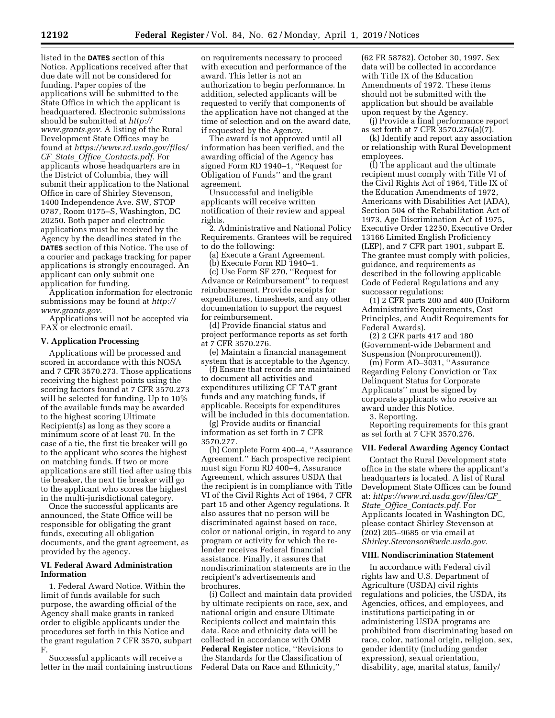listed in the **DATES** section of this Notice. Applications received after that due date will not be considered for funding. Paper copies of the applications will be submitted to the State Office in which the applicant is headquartered. Electronic submissions should be submitted at *[http://](http://www.grants.gov) [www.grants.gov.](http://www.grants.gov)* A listing of the Rural Development State Offices may be found at *[https://www.rd.usda.gov/files/](https://www.rd.usda.gov/files/CF_State_Office_Contacts.pdf)  CF*\_*State*\_*Office*\_*[Contacts.pdf.](https://www.rd.usda.gov/files/CF_State_Office_Contacts.pdf)* For applicants whose headquarters are in the District of Columbia, they will submit their application to the National Office in care of Shirley Stevenson, 1400 Independence Ave. SW, STOP 0787, Room 0175–S, Washington, DC 20250. Both paper and electronic applications must be received by the Agency by the deadlines stated in the **DATES** section of this Notice. The use of a courier and package tracking for paper applications is strongly encouraged. An applicant can only submit one application for funding.

Application information for electronic submissions may be found at *[http://](http://www.grants.gov) [www.grants.gov.](http://www.grants.gov)* 

Applications will not be accepted via FAX or electronic email.

#### **V. Application Processing**

Applications will be processed and scored in accordance with this NOSA and 7 CFR 3570.273. Those applications receiving the highest points using the scoring factors found at 7 CFR 3570.273 will be selected for funding. Up to 10% of the available funds may be awarded to the highest scoring Ultimate Recipient(s) as long as they score a minimum score of at least 70. In the case of a tie, the first tie breaker will go to the applicant who scores the highest on matching funds. If two or more applications are still tied after using this tie breaker, the next tie breaker will go to the applicant who scores the highest in the multi-jurisdictional category.

Once the successful applicants are announced, the State Office will be responsible for obligating the grant funds, executing all obligation documents, and the grant agreement, as provided by the agency.

#### **VI. Federal Award Administration Information**

1. Federal Award Notice. Within the limit of funds available for such purpose, the awarding official of the Agency shall make grants in ranked order to eligible applicants under the procedures set forth in this Notice and the grant regulation 7 CFR 3570, subpart F.

Successful applicants will receive a letter in the mail containing instructions

on requirements necessary to proceed with execution and performance of the award. This letter is not an authorization to begin performance. In addition, selected applicants will be requested to verify that components of the application have not changed at the time of selection and on the award date, if requested by the Agency.

The award is not approved until all information has been verified, and the awarding official of the Agency has signed Form RD 1940–1, ''Request for Obligation of Funds'' and the grant agreement.

Unsuccessful and ineligible applicants will receive written notification of their review and appeal rights.

2. Administrative and National Policy Requirements. Grantees will be required to do the following:

(a) Execute a Grant Agreement.

(b) Execute Form RD 1940–1.

(c) Use Form SF 270, ''Request for Advance or Reimbursement" to request reimbursement. Provide receipts for expenditures, timesheets, and any other documentation to support the request for reimbursement.

(d) Provide financial status and project performance reports as set forth at 7 CFR 3570.276.

(e) Maintain a financial management system that is acceptable to the Agency.

(f) Ensure that records are maintained to document all activities and expenditures utilizing CF TAT grant funds and any matching funds, if applicable. Receipts for expenditures will be included in this documentation.

(g) Provide audits or financial information as set forth in 7 CFR 3570.277.

(h) Complete Form 400–4, ''Assurance Agreement.'' Each prospective recipient must sign Form RD 400–4, Assurance Agreement, which assures USDA that the recipient is in compliance with Title VI of the Civil Rights Act of 1964, 7 CFR part 15 and other Agency regulations. It also assures that no person will be discriminated against based on race, color or national origin, in regard to any program or activity for which the relender receives Federal financial assistance. Finally, it assures that nondiscrimination statements are in the recipient's advertisements and brochures.

(i) Collect and maintain data provided by ultimate recipients on race, sex, and national origin and ensure Ultimate Recipients collect and maintain this data. Race and ethnicity data will be collected in accordance with OMB **Federal Register** notice, ''Revisions to the Standards for the Classification of Federal Data on Race and Ethnicity,''

(62 FR 58782), October 30, 1997. Sex data will be collected in accordance with Title IX of the Education Amendments of 1972. These items should not be submitted with the application but should be available upon request by the Agency.

(j) Provide a final performance report as set forth at 7 CFR 3570.276(a)(7).

(k) Identify and report any association or relationship with Rural Development employees.

(l) The applicant and the ultimate recipient must comply with Title VI of the Civil Rights Act of 1964, Title IX of the Education Amendments of 1972, Americans with Disabilities Act (ADA), Section 504 of the Rehabilitation Act of 1973, Age Discrimination Act of 1975, Executive Order 12250, Executive Order 13166 Limited English Proficiency (LEP), and 7 CFR part 1901, subpart E. The grantee must comply with policies, guidance, and requirements as described in the following applicable Code of Federal Regulations and any successor regulations:

(1) 2 CFR parts 200 and 400 (Uniform Administrative Requirements, Cost Principles, and Audit Requirements for Federal Awards).

(2) 2 CFR parts 417 and 180 (Government-wide Debarment and Suspension (Nonprocurement)).

(m) Form AD–3031, ''Assurance Regarding Felony Conviction or Tax Delinquent Status for Corporate Applicants'' must be signed by corporate applicants who receive an award under this Notice.

3. Reporting.

Reporting requirements for this grant as set forth at 7 CFR 3570.276.

#### **VII. Federal Awarding Agency Contact**

Contact the Rural Development state office in the state where the applicant's headquarters is located. A list of Rural Development State Offices can be found at: *[https://www.rd.usda.gov/files/CF](https://www.rd.usda.gov/files/CF_State_Office_Contacts.pdf)*\_ *State*\_*Office*\_*[Contacts.pdf.](https://www.rd.usda.gov/files/CF_State_Office_Contacts.pdf)* For Applicants located in Washington DC, please contact Shirley Stevenson at (202) 205–9685 or via email at *[Shirley.Stevenson@wdc.usda.gov.](mailto:Shirley.Stevenson@wdc.usda.gov)* 

#### **VIII. Nondiscrimination Statement**

In accordance with Federal civil rights law and U.S. Department of Agriculture (USDA) civil rights regulations and policies, the USDA, its Agencies, offices, and employees, and institutions participating in or administering USDA programs are prohibited from discriminating based on race, color, national origin, religion, sex, gender identity (including gender expression), sexual orientation, disability, age, marital status, family/